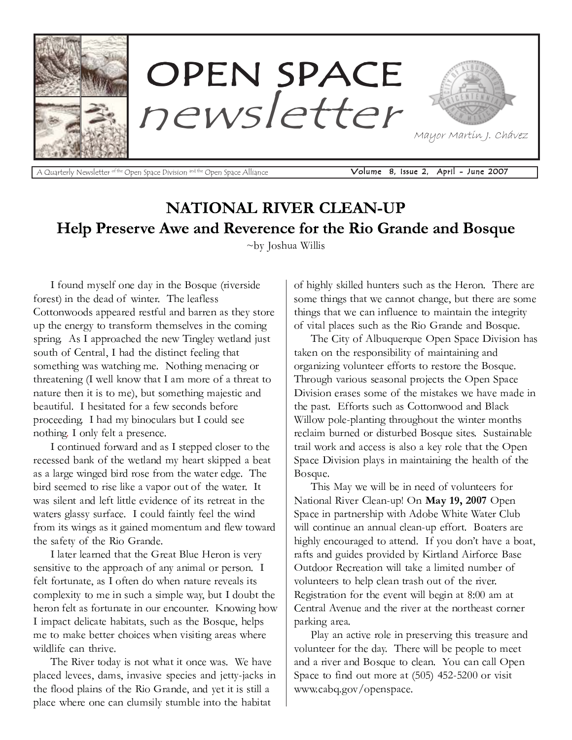

A Quarterly Newsletter <sup>of the</sup> Open Space Division <sup>and the</sup> Open Space Alliance **Volume 8, Issue 2, April - June 2007** 

# NATIONAL RIVER CLEAN-UP Help Preserve Awe and Reverence for the Rio Grande and Bosque

 $\sim$  by Lockie Willi

 - -  -    $\overline{\phantom{a}}$  ,  $\overline{\phantom{a}}$  ,  $\overline{\phantom{a}}$  ,  $\overline{\phantom{a}}$  ,  $\overline{\phantom{a}}$  ,  $\overline{\phantom{a}}$  ,  $\overline{\phantom{a}}$  ,  $\overline{\phantom{a}}$  ,  $\overline{\phantom{a}}$  ,  $\overline{\phantom{a}}$  ,  $\overline{\phantom{a}}$  ,  $\overline{\phantom{a}}$  ,  $\overline{\phantom{a}}$  ,  $\overline{\phantom{a}}$  ,  $\overline{\phantom{a}}$  ,  $\overline{\phantom{a}}$  - - - - -  $\overline{a}$  , and a set of the set of the set of the set of the set of the set of the set of the set of the set of the set of the set of the set of the set of the set of the set of the set of the set of the set of the set of  -  - -     $\blacksquare$  . The contract of the contract of the contract of the contract of the contract of the contract of the contract of the contract of the contract of the contract of the contract of the contract of the contract of the  $\mathbf{A}$  . The state of the state of the state of the state of the state of the state of the state of the state of the state of the state of the state of the state of the state of the state of the state of the state of th - The state of the state of the state of the state of the state of the state of the state of the state of the state of the state of the state of the state of the state of the state of the state of the state of the state o   - - - -   - - . The state of the state of the state  $\sim$  . The state of the state of the state of the state of the state of the state of the state of the state of the state of the state of the state of the state of the state of the sta

 -  - - - ! - !    - -  -   ! - - -    -   -    $\overline{A}$  , and a set of the set of the set of the set of the set of the set of the set of the set of the set of the set of the set of the set of the set of the set of the set of the set of the set of the set of the set of - "  - # 

 # \$ -   $\blacksquare$  . The set of the set of the set of the set of the set of the set of the set of the set of the set of the set of the set of the set of the set of the set of the set of the set of the set of the set of the set of the - - -  - %  -   -  $\blacksquare$  . A set of the set of the set of the set of the set of the set of the set of the set of the set of the set of the set of the set of the set of the set of the set of the set of the set of the set of the set of the s    - - ! -     

The River todav is not what it once was. We hav    ( !  - -  - "  - #     $\blacksquare$  . The set of the set of the set of the set of the set of the set of the set of the set of the set of the set of the set of the set of the set of the set of the set of the set of the set of the set of the set of the

 $\mathcal{A}$  and  $\mathcal{A}$  and  $\mathcal{A}$  and  $\mathcal{A}$  and  $\mathcal{A}$  and  $\mathcal{A}$  and  $\mathcal{A}$  and  $\mathcal{A}$  and  $\mathcal{A}$  and  $\mathcal{A}$  and  $\mathcal{A}$  and  $\mathcal{A}$  and  $\mathcal{A}$  and  $\mathcal{A}$  and  $\mathcal{A}$  and  $\mathcal{A}$  and  $\mathcal{A}$  and  $\blacksquare$  . The set of the set of the set of the set of the set of the set of the set of the set of the set of the set of the set of the set of the set of the set of the set of the set of the set of the set of the set of the   -      $\overline{a}$  ,  $\overline{a}$  ,  $\overline{a}$  ,  $\overline{a}$  ,  $\overline{a}$  ,  $\overline{a}$  ,  $\overline{a}$  ,  $\overline{a}$  ,  $\overline{a}$  ,  $\overline{a}$  ,  $\overline{a}$  ,  $\overline{a}$  ,  $\overline{a}$  ,  $\overline{a}$  ,  $\overline{a}$  ,  $\overline{a}$  ,  $\overline{a}$  ,  $\overline{a}$  ,  $\overline{a}$  ,  $\overline{a}$  ,

  - ) \* <sup>+</sup>    - ! - -    -    -  ,  - - - - - -  - - - ) \*  $\sim$  . The set of the set of the set of the set of the set of the set of the set of the set of the set of the set of the set of the set of the set of the set of the set of the set of the set of the set of the set of the s - - - - - - ! Willow pole-planting throughout the winter month  -  -  \*   - !  - ! - ) \* <sup>+</sup>    -     - - 

  .   - - -  - "  ( / ) <sup>0</sup> <sup>1</sup> <sup>2</sup> <sup>3</sup> <sup>4</sup> <sup>5</sup> <sup>6</sup> <sup>7</sup> <sup>7</sup> <sup>8</sup> <sup>9</sup> : ; <sup>&</sup>lt; <sup>=</sup> : <sup>&</sup>gt; ? ; @ <sup>&</sup>lt; : <sup>&</sup>gt; <sup>A</sup> <sup>B</sup> <sup>&</sup>lt; ; <sup>A</sup> <sup>C</sup> <sup>D</sup> @ : <sup>E</sup> @ <sup>B</sup> <sup>D</sup> <sup>F</sup> <sup>G</sup> <sup>H</sup> <sup>I</sup> ; <sup>J</sup> <sup>D</sup> @ <sup>B</sup> ; <sup>J</sup> <sup>&</sup>gt; <sup>B</sup> ; <sup>A</sup> <sup>K</sup> <sup>L</sup> <sup>M</sup> <sup>I</sup> will continue an annual clean-up effort. Boaters are highly encouraged to attend. If you don't have a boat, rafts and guides provided by Kirtland Airforce Base Outdoor Recreation will take a limited number of volunteers to help clean trash out of the river. Registration for the event will begin at  $8:00$  am at Central Ayenue and the river at the northeast corner parking area.

\_ <sup>L</sup> <sup>&</sup>gt; <sup>S</sup> <sup>&</sup>gt; <sup>&</sup>lt; <sup>&</sup>gt; ? <sup>B</sup> @ <sup>V</sup> ; <sup>A</sup> <sup>H</sup> <sup>L</sup> ; @ <sup>&</sup>lt; : <sup>A</sup> ; <sup>C</sup> ; <sup>A</sup> <sup>V</sup> @ <sup>&</sup>lt; <sup>R</sup> <sup>B</sup> <sup>D</sup> @ <sup>C</sup> <sup>B</sup> <sup>A</sup> ; <sup>&</sup>gt; <sup>C</sup> <sup>M</sup> <sup>A</sup> ; <sup>&</sup>gt; <sup>&</sup>lt; <sup>G</sup> volunteer for the day. There will be people to meet and a river and Bosque to clean. You can call Open <sup>=</sup> : <sup>&</sup>gt; ? ; <sup>B</sup> <sup>H</sup> <sup>O</sup> @ <sup>&</sup>lt; <sup>G</sup> <sup>H</sup> <sup>M</sup> <sup>B</sup> [ <sup>H</sup> <sup>A</sup> ; <sup>&</sup>gt; <sup>B</sup> <sup>c</sup> <sup>d</sup> ^ <sup>d</sup> <sup>e</sup> <sup>f</sup> <sup>d</sup> <sup>g</sup> <sup>N</sup> <sup>d</sup> <sup>g</sup> ^ ^ <sup>H</sup> <sup>A</sup> <sup>V</sup> @ <sup>C</sup> @ <sup>B</sup> www.cabq.gov/openspace.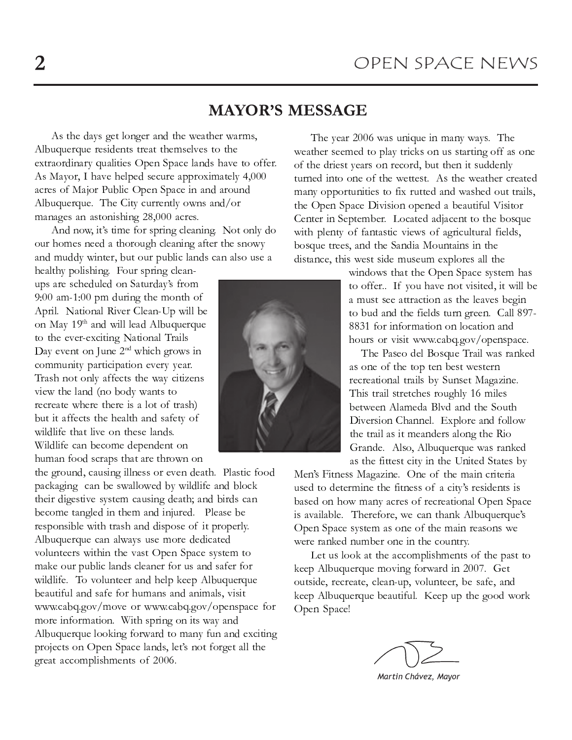# **MAYOR'S MESSAGE**

 $-$  . The state of the state of the state of the state of the state of the state of the state of the state of the state of the state of the state of the state of the state of the state of the state of the state of the sta  $\blacksquare$  . The set of the set of the set of the set of the set of the set of the set of the set of the set of the set of the set of the set of the set of the set of the set of the set of the set of the set of the set of the  $\blacksquare$  . The contract of the contract of the contract of the contract of the contract of the contract of the contract of the contract of the contract of the contract of the contract of the contract of the contract of the    -   !   $\blacksquare$  . The set of the set of the set of the set of the set of the set of the set of the set of the set of the set of the set of the set of the set of the set of the set of the set of the set of the set of the set of the - % & 

 $\Lambda$  is the function of  $\Lambda$  is  $\Lambda$  $\mathcal{L} = \{ \mathcal{L} = \mathcal{L} \}$  . The contract of the contract of the contract of the contract of the contract of the contract of the contract of the contract of the contract of the contract of the contract of the contract of -  -  

 $\sim$  1111  $\sim$  1  $\sim$ <sup>+</sup> , \* - ,  - -  ( - .  # \* / - <sup>+</sup> <sup>0</sup> <sup>1</sup> - -  \* - ( - "  <sup>2</sup> - <sup>3</sup> % <sup>4</sup> <sup>5</sup>  $\mathcal{L} = \{ \mathcal{L} = \mathcal{L} \}$  . The contract of the contract of the contract of the contract of the contract of the contract of the contract of the contract of the contract of the contract of the contract of the contract of "  - - - - <sup>6</sup> - <sup>7</sup> - -   -  -  - -  <sup>8</sup> - - - - - - - - - <sup>9</sup> - . The set of the set of the set of the set of the set of the set of the set of the set of the set of the set of the set of the set of the set of the set of the set of the set of the set of the set of the set of the set of

. In the set of the set of the set of the set of the set of the set of the set of the set of the set of the set of the set of the set of the set of the set of the set of the set of the set of the set of the set of the set

-   - ! - : :  $-$  . The set of the set of the set of the set of the set of the set of the set of the set of the set of the set of the set of the set of the set of the set of the set of the set of the set of the set of the set of the se - -  !  - -  -     - -  - - - - en and the second contract of the second contract of the second contract of the second contract of the second " -  :  . The set of the set of the set of the set of the set of the set of the set of the set of the set of the set of the set of the set of the set of the set of the set of the set of the set of the set of the set of the set of  $\blacksquare$  . The set of the set of the set of the set of the set of the set of the set of the set of the set of the set of the set of the set of the set of the set of the set of the set of the set of the set of the set of the  $\sim$  . The second contract of the second contract of the second contract of the second contract of the second contract of the second contract of the second contract of the second contract of the second contract of the sec  $\blacksquare$  . The set of the set of the set of the set of the set of the set of the set of the set of the set of the set of the set of the set of the set of the set of the set of the set of the set of the set of the set of the  $\alpha$  and the second contract of  $\alpha$  and the second contract of  $\alpha$  and  $\alpha$  . It is the second contract of  $\alpha$  - - % <sup>&</sup>lt;

![](_page_1_Picture_6.jpeg)

The year 2006 was unique in many ways. The weather seemed to play tricks on us starting off as one of the driest years on record, but then it suddenly turned into one of the wettest. As the weather created many opportunities to fix rutted and washed out trails, the Open Space Division opened a beautiful Visitor Center in September. Located adjacent to the bosque with plenty of fantastic views of agricultural fields, bosque trees, and the Sandia Mountains in the distance, this west side museum explores all the

> windows that the Open Space system has to offer.. If you have not visited, it will be a must see attraction as the leaves begin ] \_ <sup>g</sup> <sup>W</sup> ^ <sup>P</sup> <sup>X</sup> ^ ] <sup>M</sup> <sup>N</sup> <sup>e</sup> <sup>Y</sup> <sup>N</sup> <sup>a</sup> ^ <sup>V</sup> ] <sup>W</sup> <sup>Q</sup> <sup>X</sup> <sup>d</sup> <sup>Q</sup> <sup>N</sup> <sup>N</sup> <sup>X</sup> \ <sup>o</sup> <sup>P</sup> <sup>a</sup> <sup>a</sup> <sup>t</sup> <sup>u</sup> <sup>v</sup> <sup>w</sup> 8831 for information on location and hours or visit www.cabq.gov/openspace.

The Paseo del Bosque Trail was ranked as one of the top ten best western recreational trails by Sunset Magazine. This trail stretches roughly 16 miles between Alameda Blvd and the South <sup>l</sup> <sup>Y</sup> <sup>m</sup> <sup>N</sup> <sup>Q</sup> <sup>V</sup> <sup>Y</sup> \_ <sup>X</sup> <sup>o</sup> <sup>M</sup> <sup>P</sup> <sup>X</sup> <sup>X</sup> <sup>N</sup> <sup>a</sup> \ <sup>~</sup> <sup>i</sup> ` <sup>a</sup> \_ <sup>Q</sup> <sup>N</sup> <sup>P</sup> <sup>X</sup> ^ <sup>e</sup> \_ <sup>a</sup> <sup>a</sup> \_ <sup>U</sup> the trail as it meanders along the Rio <sup>Q</sup> <sup>P</sup> <sup>X</sup> ^ <sup>N</sup> \ <sup>h</sup> <sup>a</sup> <sup>V</sup> \_ <sup>f</sup> <sup>h</sup> <sup>a</sup> <sup>g</sup> <sup>W</sup> <sup>Z</sup> <sup>W</sup> <sup>N</sup> <sup>Q</sup> <sup>Z</sup> <sup>W</sup> <sup>N</sup> <sup>U</sup> <sup>P</sup> <sup>V</sup> <sup>Q</sup> <sup>P</sup> <sup>X</sup> <sup>c</sup> <sup>N</sup> ^ as the fittest city in the United States by

Men's Fitness Magazine. One of the main criteria used to determine the fitness of a city's residents is based on how many acres of recreational Open Space is available. Therefore, we can thank Albuquerque's Open Space system as one of the main reasons we were ranked number one in the country.

Let us look at the accomplishments of the past to keep Albuquerque moving forward in 2007. Get outside, recreate, clean-up, volunteer, be safe, and keep Albuquerque beautiful. Keep up the good work Open Space!

Martin Chávez, Mayor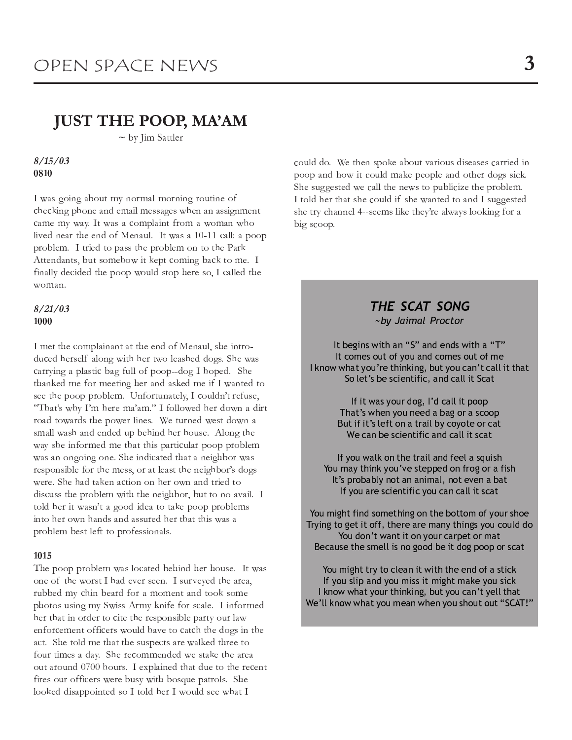# **JUST THE POOP, MA'AM**

 $\sim$  by Jim Sattler

 $8/15/03$ 0810

I was going about my normal morning routine of checking phone and email messages when an assignment came my way. It was a complaint from a woman who lived near the end of Menaul. It was a 10-11 call: a poop problem. I tried to pass the problem on to the Park Attendants, but somehow it kept coming back to me. I finally decided the poop would stop here so, I called the woman.

## $8/21/03$ 1000

I met the complainant at the end of Menaul, she introduced herself along with her two leashed dogs. She was carrying a plastic bag full of poop--dog I hoped. She thanked me for meeting her and asked me if I wanted to see the poop problem. Unfortunately, I couldn't refuse, "That's why I'm here ma'am." I followed her down a dirt road towards the power lines. We turned west down a small wash and ended up behind her house. Along the way she informed me that this particular poop problem was an ongoing one. She indicated that a neighbor was responsible for the mess, or at least the neighbor's dogs were. She had taken action on her own and tried to discuss the problem with the neighbor, but to no avail. I told her it wasn't a good idea to take poop problems into her own hands and assured her that this was a problem best left to professionals.

## 1015

The poop problem was located behind her house. It was one of the worst I had ever seen. I surveyed the area, rubbed my chin beard for a moment and took some photos using my Swiss Army knife for scale. I informed her that in order to cite the responsible party our law enforcement officers would have to catch the dogs in the act. She told me that the suspects are walked three to four times a day. She recommended we stake the area out around 0700 hours. I explained that due to the recent fires our officers were busy with bosque patrols. She looked disappointed so I told her I would see what I

could do. We then spoke about various diseases carried in poop and how it could make people and other dogs sick. She suggested we call the news to publicize the problem. I told her that she could if she wanted to and I suggested she try channel 4--seems like they're always looking for a big scoop.

# THE SCAT SONG

~by Jaimal Proctor

It begins with an "S" and ends with a "T" It comes out of you and comes out of me I know what you're thinking, but you can't call it that So let's be scientific, and call it Scat

> If it was your dog, I'd call it poop That's when you need a bag or a scoop But if it's left on a trail by coyote or cat We can be scientific and call it scat

If you walk on the trail and feel a squish You may think you've stepped on frog or a fish It's probably not an animal, not even a bat If you are scientific you can call it scat

You might find something on the bottom of your shoe Trying to get it off, there are many things you could do You don't want it on your carpet or mat Because the smell is no good be it dog poop or scat

You might try to clean it with the end of a stick If you slip and you miss it might make you sick I know what your thinking, but you can't yell that We'll know what you mean when you shout out "SCAT!"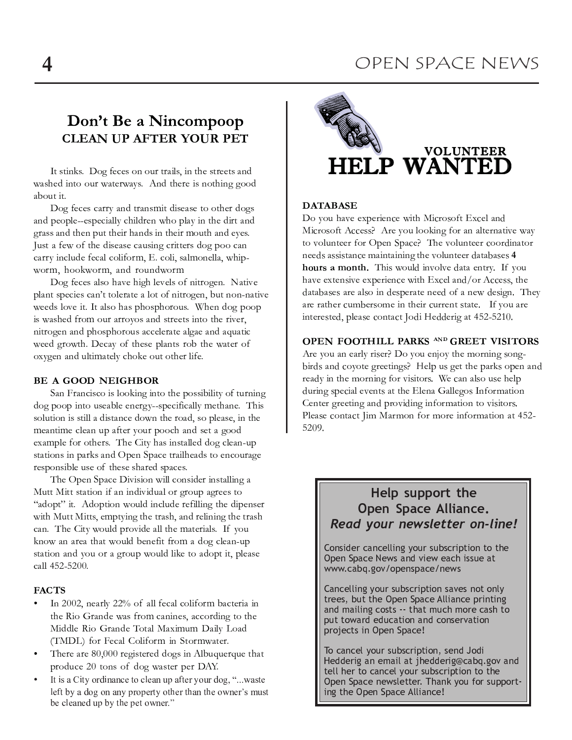# OPEN SPACE NEWS

# Don't Be a Nincompoop **CLEAN UP AFTER YOUR PET**

 - -  - - - -  $\frac{1}{2}$ about it.

 $-$  . A set of the set of the set of the set of the set of the set of the set of the set of the set of the set of the set of the set of the set of the set of the set of the set of the set of the set of the set of the set and seconds - second let object more related to the district on - - - -  $\frac{1}{2}$  four of the disease causing gritters dog peo co esaar inskude feest ookfoarm. Eesti eelmoonelle whin worm hoolworm and roundware

  - - -  $-$  . The set of the set of the set of the set of the set of the set of the set of the set of the set of the set of the set of the set of the set of the set of the set of the set of the set of the set of the set of the se  $\frac{1}{2}$   $\frac{1}{2}$   $\frac{1}{2}$   $\frac{1}{2}$   $\frac{1}{2}$   $\frac{1}{2}$   $\frac{1}{2}$   $\frac{1}{2}$   $\frac{1}{2}$   $\frac{1}{2}$   $\frac{1}{2}$   $\frac{1}{2}$   $\frac{1}{2}$   $\frac{1}{2}$   $\frac{1}{2}$   $\frac{1}{2}$   $\frac{1}{2}$   $\frac{1}{2}$   $\frac{1}{2}$   $\frac{1}{2}$   $\frac{1}{2}$   $\frac{1}{2}$   $\mathbf{a}$  model from our exerce and exects into the river  $-$  . The state of the state of the state of the state of the state of the state of the state of the state of the state of the state of the state of the state of the state of the state of the state of the state of the sta  $\mu$ <sub>r</sub>  $\alpha$   $\mu$ <sub>0</sub>  $\mu$ <sub>1</sub> $\mu$ <sub>1</sub> $\alpha$ <sub>1</sub> $\mu$ <sub>1</sub> $\alpha$ <sub>1</sub> $\alpha$ <sub>1</sub> $\alpha$ <sub>1</sub> $\alpha$ <sub>1</sub> $\alpha$ <sub>1</sub> $\alpha$ <sub>1</sub> $\alpha$ <sub>1</sub> $\alpha$ <sub>1</sub> $\alpha$ <sub>1</sub> $\alpha$ <sub>1</sub> $\alpha$ <sub>1</sub> $\alpha$ <sub>1</sub> $\alpha$ <sub>1</sub> $\alpha$ <sub>1</sub> $\alpha$ <sub>1</sub> $\alpha$ <sub>1</sub> $\alpha$ <sub>1</sub> $\alpha$ <sub>1</sub> $\alpha$ <sub>1</sub> $\alpha$ <sub>1</sub> $\alpha$ <sub>1</sub> $\alpha$ <sub>1</sub> $\alpha$ <sub>1</sub> $\alpha$ <sub>1</sub> $\alpha$ " 

## BE A GOOD NEIGHBOR

 $\overline{\phantom{a}}$  , and the contract of the contract of the contract of the contract of the contract of the contract of the contract of the contract of the contract of the contract of the contract of the contract of the contrac  $\mathcal{A} = \mathcal{A} \mathcal{A}$  , and a set of the set of the set of the set of the set of the set of the set of the set of the set of the set of the set of the set of the set of the set of the set of the set of the set of the set astutis ai etilla distance domn the read as places in th   - " - / <sup>0</sup> - -   $\sim$  . The state of the state of the state of the state of the state of the state of the state of the state of the state of the state of the state of the state of the state of the state of the state of the state of the st - - - - - -  -

 $\Gamma$ ke Onen Suesa Division will sonaiden instelling <sup>2</sup> <sup>2</sup> - -  $\alpha$  dent) it Adentian would include notifine the dinerge with  $M_{11}$  Mitte, amptying the triple and religion the tree  $\alpha$  The City would neavide all the meterials. If you know an anga that would bongfit fuom a doo gloon w etation and vous a no attenue would like to adopt it place call 452-5200.

## **FACTS**

- In 2002, nearly 22% of all fecal coliform bacteria in the Rio Grande was from canines, according to the <sup>V</sup> <sup>K</sup> <sup>R</sup> <sup>R</sup> <sup>E</sup> <sup>B</sup> <sup>P</sup> <sup>K</sup> <sup>H</sup> <sup>Q</sup> <sup>D</sup> <sup>C</sup> <sup>&</sup>gt; <sup>R</sup> <sup>B</sup> <sup>W</sup> <sup>H</sup> <sup>N</sup> <sup>C</sup> <sup>E</sup> <sup>V</sup> <sup>C</sup> <sup>X</sup> <sup>K</sup> <sup>L</sup> <sup>Y</sup> <sup>L</sup> <sup>Z</sup> <sup>C</sup> <sup>K</sup> <sup>E</sup> <sup>F</sup> [ <sup>H</sup> <sup>C</sup> <sup>R</sup>  $\mathcal{L} = \mathcal{L} = \mathcal{L} = \mathcal{L} = \mathcal{L} = \mathcal{L} = \mathcal{L} = \mathcal{L} = \mathcal{L} = \mathcal{L} = \mathcal{L} = \mathcal{L} = \mathcal{L} = \mathcal{L} = \mathcal{L} = \mathcal{L} = \mathcal{L} = \mathcal{L} = \mathcal{L} = \mathcal{L} = \mathcal{L} = \mathcal{L} = \mathcal{L} = \mathcal{L} = \mathcal{L} = \mathcal{L} = \mathcal{L} = \mathcal{L} = \mathcal{L} = \mathcal{L} = \mathcal{L} = \mathcal$
- There are 80,000 registered dogs in Albuquerque that e i go e fi e e NAV
- It is a City ordinance to clean up after your dog, "... waste left by a dog on any property other than the owner's must be cleaned up by the pet owner."

![](_page_3_Picture_12.jpeg)

## DATABASE

Do you have experience with Microsoft Excel and Microsoft Access? Are you looking for an alternative way to volunteer for Open Space? The volunteer coordinator needs assistance maintaining the volunteer databases 4 <sup>ü</sup> <sup>ý</sup> <sup>þ</sup> <sup>ÿ</sup> - <sup>ý</sup> <sup>ü</sup> <sup>ø</sup> <sup>à</sup> <sup>ç</sup> <sup>í</sup> <sup>ê</sup> <sup>Ý</sup> <sup>ß</sup> <sup>ð</sup> <sup>ñ</sup> <sup>ç</sup> <sup>è</sup> <sup>â</sup> <sup>Ý</sup> <sup>ð</sup> <sup>â</sup> <sup>ã</sup> <sup>ñ</sup> <sup>á</sup> <sup>ë</sup> <sup>á</sup> <sup>ã</sup> <sup>è</sup> <sup>ë</sup> <sup>æ</sup> <sup>Þ</sup> <sup>î</sup> <sup>Þ</sup> <sup>Ý</sup> <sup>ß</sup> have extensive experience with Excel and/or Access, the databases are also in desperate need of a new design. They are rather cumbersome in their current state. If you are <sup>ç</sup> <sup>è</sup> <sup>ë</sup> <sup>ã</sup> <sup>æ</sup> <sup>ã</sup> <sup>í</sup> <sup>ë</sup> <sup>ã</sup> <sup>ñ</sup> <sup>å</sup> <sup>ð</sup> <sup>ã</sup> <sup>á</sup> <sup>í</sup> <sup>ã</sup> <sup>é</sup> <sup>Ý</sup> <sup>è</sup> <sup>ë</sup> <sup>á</sup> <sup>é</sup> <sup>ë</sup> <sup>Ý</sup> <sup>ñ</sup> <sup>ç</sup> <sup>ã</sup> <sup>ñ</sup> <sup>ñ</sup> <sup>ã</sup> <sup>æ</sup> <sup>ç</sup> <sup>õ</sup> <sup>á</sup> <sup>ë</sup> 

## OPEN FOOTHILL PARKS AND GREET VISITORS

Are you an early riser? Do you enjoy the morning songbirds and coyote greetings? Help us get the parks open and ready in the morning for visitors. We can also use help during special events at the Elena Gallegos Information Center greeting and providing information to visitors. \$ <sup>ð</sup> <sup>ã</sup> <sup>á</sup> <sup>í</sup> <sup>ã</sup> <sup>é</sup> <sup>Ý</sup> <sup>è</sup> <sup>ë</sup> <sup>á</sup> <sup>é</sup> <sup>ë</sup> <sup>ç</sup> <sup>ù</sup> <sup>ì</sup> <sup>á</sup> <sup>æ</sup> <sup>ù</sup> <sup>Ý</sup> <sup>è</sup> <sup>î</sup> <sup>Ý</sup> <sup>æ</sup> <sup>ù</sup> <sup>Ý</sup> <sup>æ</sup> <sup>ã</sup> <sup>ç</sup> <sup>è</sup> <sup>î</sup> <sup>Ý</sup> <sup>æ</sup> <sup>ù</sup> <sup>á</sup> <sup>ë</sup> <sup>ç</sup> <sup>Ý</sup> <sup>è</sup> <sup>á</sup> <sup>ë</sup> 5209.

# Help support the Read your newsletter on-line!

Consider cancelling your subscription to the Open Space News and view each issue at www.cabq.gov/openspace/news

Cancelling your subscription saves not only trees, but the Open Space Alliance printing and mailing costs -- that much more cash to put toward education and conservation projects in Open Space!

To cancel your subscription, send Jodi <sup>Ò</sup> ¶ <sup>µ</sup> <sup>µ</sup> ¶ · ´ » <sup>¹</sup> <sup>²</sup> ¶ <sup>Ì</sup> <sup>¹</sup> ´ <sup>º</sup> <sup>¹</sup> <sup>À</sup> <sup>Î</sup> <sup>Á</sup> ¶ <sup>µ</sup> <sup>µ</sup> ¶ · ´ » <sup>Ó</sup> ¸ <sup>¹</sup> <sup>¾</sup> <sup>È</sup> <sup>Ç</sup> » <sup>±</sup> <sup>Æ</sup> <sup>¹</sup> <sup>²</sup> <sup>µ</sup> tell her to cancel your subscription to the Open Space newsletter. Thank you for supporting the Open Space Alliance!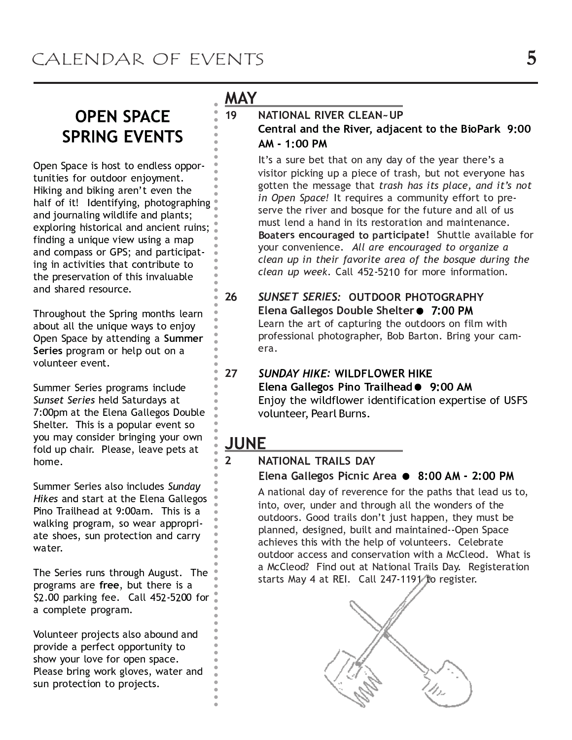# **OPEN SPACE SPRING EVENTS**

Open Space is host to endless opportunities for outdoor enjoyment. Hiking and biking aren't even the half of it! Identifying, photographing and journaling wildlife and plants; exploring historical and ancient ruins; finding a unique view using a map and compass or GPS; and participating in activities that contribute to the preservation of this invaluable and shared resource.

Throughout the Spring months learn about all the unique ways to enjoy Open Space by attending a Summer Series program or help out on a volunteer event.

Summer Series programs include Sunset Series held Saturdays at 7:00pm at the Elena Gallegos Double Shelter. This is a popular event so you may consider bringing your own fold up chair. Please, leave pets at home.

Summer Series also includes Sunday Hikes and start at the Elena Gallegos Pino Trailhead at 9:00am. This is a walking program, so wear appropriate shoes, sun protection and carry water.

The Series runs through August. The programs are free, but there is a \$2.00 parking fee. Call 452-5200 for a complete program.

Volunteer projects also abound and provide a perfect opportunity to show your love for open space. Please bring work gloves, water and sun protection to projects.

**MAY** 

## 19 **NATIONAL RIVER CLEAN-UP** Central and the River, adiacent to the BioPark 9:00 AM - 1:00 PM

It's a sure bet that on any day of the year there's a visitor picking up a piece of trash, but not everyone has gotten the message that trash has its place, and it's not in Open Space! It requires a community effort to preserve the river and bosque for the future and all of us must lend a hand in its restoration and maintenance. Boaters encouraged to participate! Shuttle available for your convenience. All are encouraged to organize a clean up in their favorite area of the bosque during the clean up week. Call 452-5210 for more information.

26 SUNSET SERIES: OUTDOOR PHOTOGRAPHY Elena Gallegos Double Shelter ● 7:00 PM Learn the art of capturing the outdoors on film with professional photographer, Bob Barton. Bring your camera.

### $27$ **SUNDAY HIKE: WILDFLOWER HIKE** Elena Gallegos Pino Trailhead . 9:00 AM Enjoy the wildflower identification expertise of USFS volunteer, Pearl Burns.

# **JUNE**

 $2^{\circ}$ 

# **NATIONAL TRAILS DAY** Elena Gallegos Picnic Area ● 8:00 AM - 2:00 PM

A national day of reverence for the paths that lead us to, into, over, under and through all the wonders of the outdoors. Good trails don't just happen, they must be planned, designed, built and maintained--Open Space achieves this with the help of volunteers. Celebrate outdoor access and conservation with a McCleod. What is a McCleod? Find out at National Trails Day. Registeration starts May 4 at REI. Call 247-1191 to register.

![](_page_4_Picture_16.jpeg)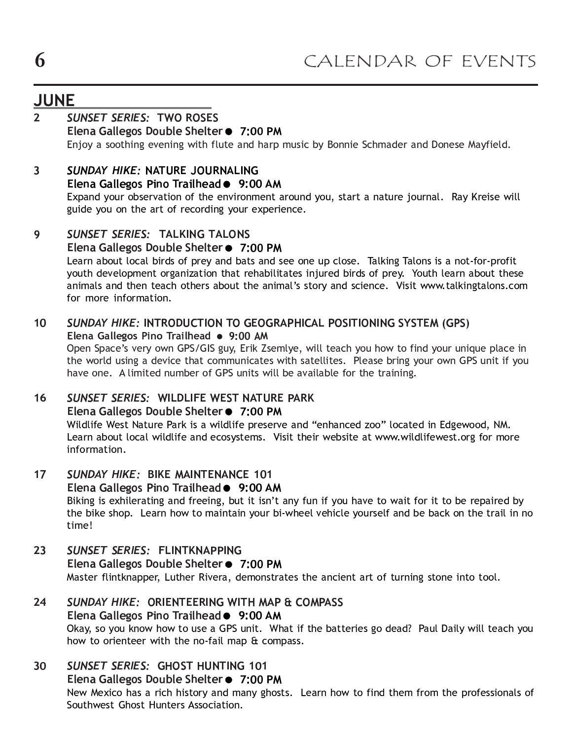# **JUNE**

#### $2<sup>1</sup>$ **SUNSET SERIES: TWO ROSES** Elena Gallegos Double Shelter● 7:00 PM

Enjoy a soothing evening with flute and harp music by Bonnie Schmader and Donese Mayfield.

#### $\overline{3}$ **SUNDAY HIKE: NATURE JOURNALING**

# Elena Gallegos Pino Trailhead ● 9:00 AM

Expand your observation of the environment around you, start a nature journal. Ray Kreise will guide you on the art of recording your experience.

#### 9 SUNSET SERIES: TALKING TALONS Elena Gallegos Double Shelter● 7:00 PM

Learn about local birds of prey and bats and see one up close. Talking Talons is a not-for-profit youth development organization that rehabilitates injured birds of prey. Youth learn about these animals and then teach others about the animal's story and science. Visit www.talkingtalons.com for more information.

#### $10<sup>°</sup>$ SUNDAY HIKE: INTRODUCTION TO GEOGRAPHICAL POSITIONING SYSTEM (GPS) Elena Gallegos Pino Trailhead . 9:00 AM

Open Space's very own GPS/GIS guy, Erik Zsemlye, will teach you how to find your unique place in the world using a device that communicates with satellites. Please bring your own GPS unit if you have one. A limited number of GPS units will be available for the training.

#### $16<sub>1</sub>$ SUNSET SERIES: WILDLIFE WEST NATURE PARK Elena Gallegos Double Shelter● 7:00 PM

Wildlife West Nature Park is a wildlife preserve and "enhanced zoo" located in Edgewood, NM. Learn about local wildlife and ecosystems. Visit their website at www.wildlifewest.org for more information.

### $17<sup>2</sup>$ **SUNDAY HIKE: BIKE MAINTENANCE 101** Elena Gallegos Pino Trailhead · 9:00 AM Biking is exhilerating and freeing, but it isn't any fun if you have to wait for it to be repaired by the bike shop. Learn how to maintain your bi-wheel vehicle yourself and be back on the trail in no time!

#### 23 SUNSET SERIES: FLINTKNAPPING Elena Gallegos Double Shelter● 7:00 PM Master flintknapper, Luther Rivera, demonstrates the ancient art of turning stone into tool.

## SUNDAY HIKE: ORIENTEERING WITH MAP & COMPASS  $24$ Elena Gallegos Pino Trailhead · 9:00 AM Okay, so you know how to use a GPS unit. What if the batteries go dead? Paul Daily will teach you how to orienteer with the no-fail map & compass.

30 **SUNSET SERIES: GHOST HUNTING 101** Elena Gallegos Double Shelter ● 7:00 PM New Mexico has a rich history and many ghosts. Learn how to find them from the professionals of Southwest Ghost Hunters Association.

6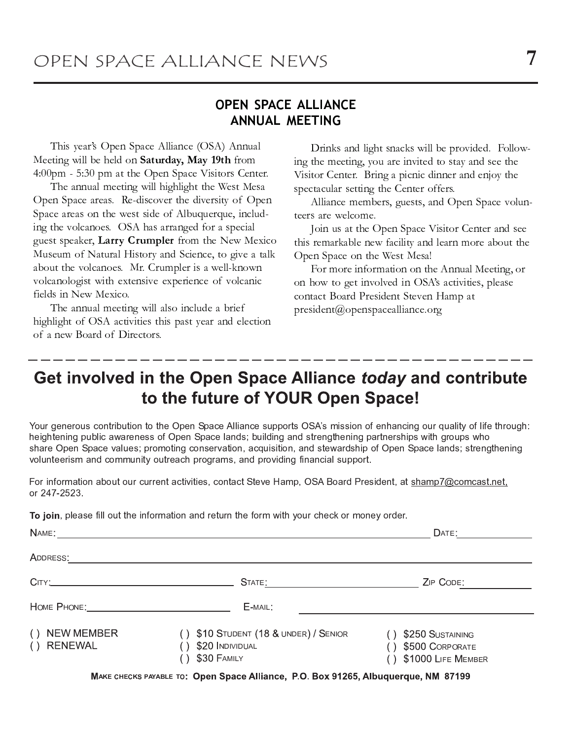# **OPEN SPACE ALLIANCE ANNUAL MEETING**

This year's Open Space Alliance (OSA) Annual Meeting will be held on Saturday, May 19th from 4:00pm - 5:30 pm at the Open Space Visitors Center.

The annual meeting will highlight the West Mesa Open Space areas. Re-discover the diversity of Open Space areas on the west side of Albuquerque, including the volcanoes. OSA has arranged for a special guest speaker, Larry Crumpler from the New Mexico Museum of Natural History and Science, to give a talk about the volcanoes. Mr. Crumpler is a well-known volcanologist with extensive experience of volcanic fields in New Mexico.

The annual meeting will also include a brief highlight of OSA activities this past year and election of a new Board of Directors.

Drinks and light snacks will be provided. Following the meeting, you are invited to stay and see the Visitor Center. Bring a picnic dinner and enjoy the spectacular setting the Center offers.

Alliance members, guests, and Open Space volunteers are welcome.

Join us at the Open Space Visitor Center and see this remarkable new facility and learn more about the Open Space on the West Mesa!

For more information on the Annual Meeting, or on how to get involved in OSA's activities, please contact Board President Steven Hamp at president@openspacealliance.org

# Get involved in the Open Space Alliance today and contribute to the future of YOUR Open Space!

Your generous contribution to the Open Space Alliance supports OSA's mission of enhancing our quality of life through: heightening public awareness of Open Space lands; building and strengthening partnerships with groups who share Open Space values; promoting conservation, acquisition, and stewardship of Open Space lands; strengthening volunteerism and community outreach programs, and providing financial support.

For information about our current activities, contact Steve Hamp, OSA Board President, at shamp7@comcast.net, or 247-2523.

To join, please fill out the information and return the form with your check or money order.

|                             |                                                                                    | $\mathsf{DATE:}\qquad \qquad \qquad \qquad$               |
|-----------------------------|------------------------------------------------------------------------------------|-----------------------------------------------------------|
| ADDRESS:                    |                                                                                    |                                                           |
|                             | State: ______________________________                                              | $ZIP$ $C$ $ODE$ :                                         |
|                             | E-MAIL:                                                                            |                                                           |
| () NEW MEMBER<br>() RENEWAL | () $$10$ Student (18 & under) / Senior<br>\$20 INDIVIDUAL<br>\$30 FAMILY           | \$250 SUSTAINING<br>\$500 CORPORATE<br>\$1000 LIFE MEMBER |
|                             | MAKE CHECKS PAYABLE TO: Open Space Alliance, P.O. Box 91265, Albuquerque, NM 87199 |                                                           |